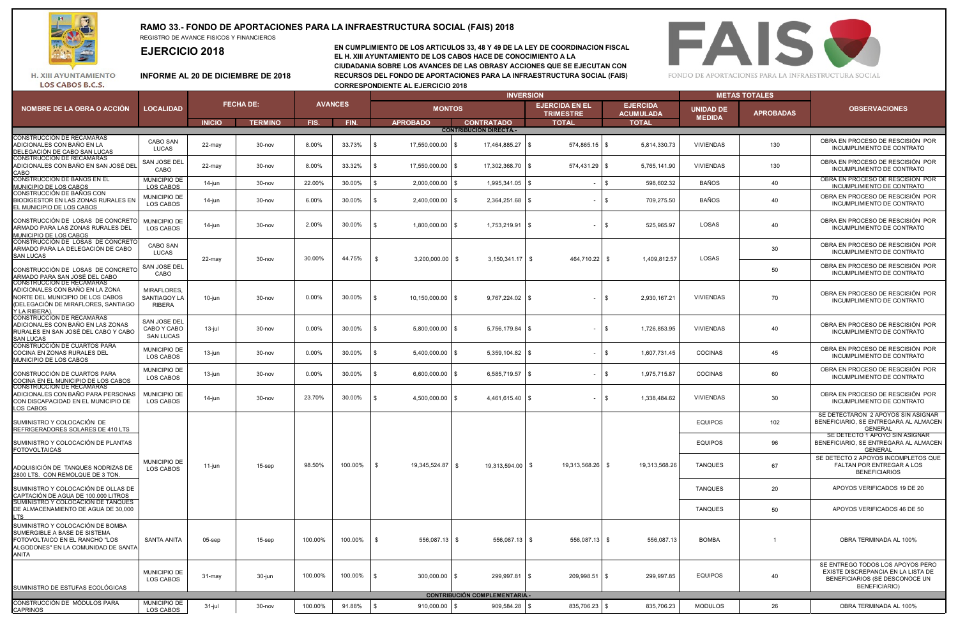

LOS CABOS B.C.S.

## **RAMO 33.- FONDO DE APORTACIONES PARA LA INFRAESTRUCTURA SOCIAL (FAIS) 2018** REGISTRO DE AVANCE FISICOS Y FINANCIEROS

**EJERCICIO 2018**

**EN CUMPLIMIENTO DE LOS ARTICULOS 33, 48 Y 49 DE LA LEY DE COORDINACION FISCAL EL H. XIII AYUNTAMIENTO DE LOS CABOS HACE DE CONOCIMIENTO A LA CIUDADANIA SOBRE LOS AVANCES DE LAS OBRASY ACCIONES QUE SE EJECUTAN CON INFORME AL 20 DE DICIEMBRE DE 2018 RECURSOS DEL FONDO DE APORTACIONES PARA LA INFRAESTRUCTURA SOCIAL (FAIS) CORRESPONDIENTE AL EJERCICIO 2018**



**EJERCIDA EN EL TRIMESTRE EJERCIDA ACUMULADA INICIO TERMINO FIS. FIN. APROBADO CONTRATADO TOTAL TOTAL**  CONSTRUCCIÓN DE RECAMARAS ADICIONALES CON BAÑO EN LA DELEGACIÓN DE CABO SAN LUCAS CABO SAN<br>LUCAS LUCAS 22-may 30-nov 8.00% 33.73% \$ 17,550,000.00 \$ 17,464,885.27 \$ 574,865.15 \$ 5,814,330.73 VIVIENDAS <sup>130</sup> CONSTRUCCIÓN DE RECAMARAS ADICIONALES CON BAÑO EN SAN JOSÉ DEL **CABC** SAN JOSE DEL <sup>осдо</sup> 22-may | 30-nov | 8.00% | 33.32% |\$ 17,550,000.00 |\$ 17,302,368.70 |\$ 574,431.29 |\$ 5,765,141.90 VIVIENDAS | 130<br>САВО | 22-may | 30-nov | 8.00% | 33.32% |\$ 17,550,000.00 |\$ 17,302,368.70 |\$ CONSTRUCCIÓN DE BAÑOS EN EL MUNICIPIO DE LOS CABOS MUNICIPIO DE LOS CABOS 14-jun 30-nov 22.00% 30.00% \$ 2,000,000.00 \$ 1,995,341.05 \$ - \$ 598,602.32 BAÑOS <sup>40</sup> CONSTRUCCIÓN DE BAÑOS CON BIODIGESTOR EN LAS ZONAS RURALES EN EL MUNICIPIO DE LOS CABOS MUNICIPIO DE LOS CABOS 14-jun 30-nov 6.00% 30.00% \$ 2,400,000.00 \$ 2,364,251.68 \$ - \$ 709,275.50 BAÑOS <sup>40</sup> CONSTRUCCIÓN DE LOSAS DE CONCRET ARMADO PARA LAS ZONAS RURALES DEL MUNICIPIO DE LOS CABOS MUNICIPIO DE<br>LOS CABOS LOS CABOS 14-jun 30-nov 2.00% 30.00% \$ 1,800,000.00 \$ 1,753,219.91 \$ - \$ 525,965.97 LOSAS <sup>40</sup> CONSTRUCCIÓN DE LOSAS DE CONCRETO ARMADO PARA LA DELEGACIÓN DE CABO SAN LUCAS CABO SAN<br>LUCAS LUCAS <sup>30</sup> CONSTRUCCIÓN DE LOSAS DE CONCRETO ARMADO PARA SAN JOSÉ DEL CABO SAN JOSE DEL CABO <sup>50</sup> CONSTRUCCIÓN DE RECAMARAS ADICIONALES CON BAÑO EN LA ZONA NORTE DEL MUNICIPIO DE LOS CABOS (DELEGACIÓN DE MIRAFLORES, SANTIAGO Y LA RIBERA). MIRAFLORES, SANTIAGOY LA RIBERA 10-jun | 30-nov | 0.00% | 30.00% |\$ 10,150,000.00 |\$ 9,767,224.02 |\$ - |\$ 2,930,167.21 | VIVIENDAS | 70 CONSTRUCCIÓN DE RECAMARAS ADICIONALES CON BAÑO EN LAS ZONAS RURALES EN SAN JOSÉ DEL CABO Y CABO SAN LUCAS SAN JOSE DEL CABO Y CABO SAN LUCAS 13-jul | 30-nov | 0.00% | 30.00% |\$ 5,800,000.00 |\$ 5,756,179.84 |\$ - |\$ 1,726,853.95 VIVIENDAS | 40 CONSTRUCCIÓN DE CUARTOS PARA COCINA EN ZONAS RURALES DEL MUNICIPIO DE LOS CABOS MUNICIPIO DE<br>LOS CABOS LOS CABOS 13-jun 30-nov 0.00% 30.00% \$ 5,400,000.00 \$ 5,359,104.82 \$ - \$ 1,607,731.45 COCINAS <sup>45</sup> CONSTRUCCIÓN DE CUARTOS PARA COCINA EN EL MUNICIPIO DE LOS CABOS MUNICIPIO DE LOS CABOS 13-jun 30-nov 0.00% 30.00% \$ 6,600,000.00 \$ 6,585,719.57 \$ - \$ 1,975,715.87 COCINAS <sup>60</sup> CONSTRUCCIÓN DE RECAMARAS ADICIONALES CON BAÑO PARA PERSONAS CON DISCAPACIDAD EN EL MUNICIPIO DE LOS CABOS MUNICIPIO DE -0.000 14-jun | 30-nov | 23.70% 30.00% \$ 4,500,000.00 \$ 4,461,615.40 \$ - \$ 1,338,484.62 VIVIENDAS | 30<br>LOS CABOS | 14-jun | 30-nov | 23.70% | 30.00% \$ 4,500,000.00 \$ 4,461,615.40 \$ SUMINISTRO Y COLOCACIÓN DE REFRIGERADORES SOLARES DE 410 LTS  $EQUIPOS$   $102$ SUMINISTRO Y COLOCACIÓN DE PLANTAS FOTOVOLTAICAS EQUIPOS 96 ADQUISICIÓN DE TANQUES NODRIZAS DE 2800 LTS. CON REMOLQUE DE 3 TON. TANQUES 67 SUMINISTRO Y COLOCACIÓN DE OLLAS DE CAPTACIÓN DE AGUA DE 100.000 LITROS TANQUES 20 SUMINISTRO Y COLOCACIÓN DE TANQUES DE ALMACENAMIENTO DE AGUA DE 30,000 LTS TANQUES 50 SUMINISTRO Y COLOCACIÓN DE BOMBA SUMERGIBLE A BASE DE SISTEMA FOTOVOLTAICO EN EL RANCHO "LOS ALGODONES" EN LA COMUNIDAD DE SANTA ANITA SANTA ANITA | 05-sep | 15-sep | 100.00% |100.00% |\$ 556,087.13 |\$ 556,087.13 |\$ 556,087.13 |\$ 556,087.13 BOMBA | 1 SUMINISTRO DE ESTUFAS ECOLÓGICAS MUNICIPIO DE nonoun oʻo 31-may | 30-jun | 100.00% 100.00% \$ 300,000.00 \$ 299,997.81 \$ 209,998.51 \$ 299,997.85 EQUIPOS | 40<br>LOS CABOS | 31-may | 30-jun | 100.00% |\$ 300,000.00 \$ 299,997.81 \$ CONSTRUCCIÓN DE MÓDULOS PARA **CAPRINOS** MUNICIPIO DE Montrvover 31-jul 30-nov 100.00% 91.88% \$ 910,000.00 \$ 909,584.28 \$ 835,706.23 \$ 835,706.23 MODULOS 26<br>LOS CABOS 31-jul 30-nov 100.00% 91.88% \$ 910,000.00 \$ 909,584.28 \$ 835,706.23 MUNICIPIO DE LOS CABOS APOYOS VERIFICADOS 46 DE 50 OBRA TERMINADA AL 100% SE ENTREGO TODOS LOS APOYOS PERO EXISTE DISCREPANCIA EN LA LISTA DE BENEFICIARIOS (SE DESCONOCE UN BENEFICIARIO) OBRA TERMINADA AL 100% **CONTRIBUCIÓN COMPLEMENTARIA**  \$ 19,345,524.87 OBRA EN PROCESO DE RESCISIÓN POR INCUMPLIMIENTO DE CONTRATO **FECHA DE: CONTRIBUCIÓN DIRECTA.- AVANCES**  OBRA EN PROCESO DE RESCISIÓN POR INCUMPLIMIENTO DE CONTRATO **METAS TOTALES**  NOMBRE DE LA OBRA O ACCIÓN LOCALIDAD DE APROBADAS DE LA OBRA O ACCIÓN LOCALIDAD DE LA OBRA O ACCIÓNA DE LA OBR<br>APROBADAS DE LA OBRADA DE LA OBRADA DE LA OBRADA DE LA OBRADA DE LA OBRADA DE LA OBRADA DE LA OBRADA DE LA OBRA **INVERSION**  OBRA EN PROCESO DE RESCISIÓN POR INCUMPLIMIENTO DE CONTRATO OBRA EN PROCESO DE RESCISIÓN POR INCUMPLIMIENTO DE CONTRATO SE DETECTARON 2 APOYOS SIN ASIGNAR BENEFICIARIO, SE ENTREGARA AL ALMACEN **GENERAL** SE DETECTO 1 APOYO SIN ASIGNAR BENEFICIARIO, SE ENTREGARA AL ALMACEN **GENERAL MONTOS** OBRA EN PROCESO DE RESCISIÓN POR INCUMPLIMIENTO DE CONTRATO OBRA EN PROCESO DE RESCISIÓN POR INCUMPLIMIENTO DE CONTRATO \$ 19,313,568,26 \$ 19,313,568,26 44.75% \$ 3,200,000.00 \$ 19,313,594.00 UNIDAD DE **APROBADAS OBSERVACIONES MEDIDA LOCALIDAD** OBRA EN PROCESO DE RESCISIÓN POR INCUMPLIMIENTO DE CONTRATO OBRA EN PROCESO DE RESCISIÓN POR INCUMPLIMIENTO DE CONTRATO OBRA EN PROCESO DE RESCISIÓN POR INCUMPLIMIENTO DE CONTRATO \$ 464,710.22 11-jun 15-sep 98.50% OBRA EN PROCESO DE RESCISIÓN POR INCUMPLIMIENTO DE CONTRATO OBRA EN PROCESO DE RESCISIÓN POR INCUMPLIMIENTO DE CONTRATO OBRA EN PROCESO DE RESCISIÓN POR INCUMPLIMIENTO DE CONTRATO 30.00% | 44.75% |\$ 3,200,000.00 | \$ 3,150,341.17 | \$ 464,710.22 | \$ 1,409,812.57 | LOSAS 100.00% SE DETECTO 2 APOYOS INCOMPLETOS QUE FALTAN POR ENTREGAR A LOS **BENEFICIARIOS** 22-may 30-nov APOYOS VERIFICADOS 19 DE 20